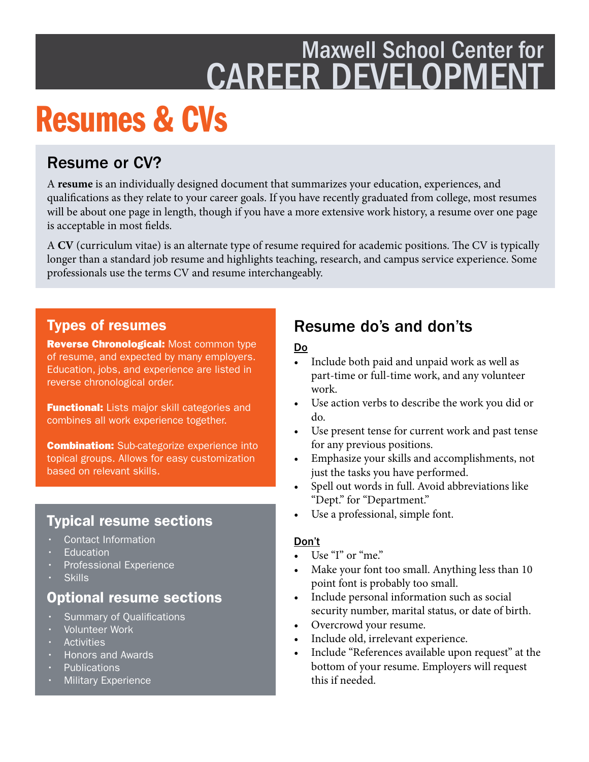## Maxwell School Center for **CAREER DEVELOPME**

## Resumes & CVs

## Resume or CV?

A **resume** is an individually designed document that summarizes your education, experiences, and qualifcations as they relate to your career goals. If you have recently graduated from college, most resumes will be about one page in length, though if you have a more extensive work history, a resume over one page is acceptable in most felds.

A CV (curriculum vitae) is an alternate type of resume required for academic positions. The CV is typically longer than a standard job resume and highlights teaching, research, and campus service experience. Some professionals use the terms CV and resume interchangeably.

#### Types of resumes

Reverse Chronological: Most common type of resume, and expected by many employers. Education, jobs, and experience are listed in reverse chronological order.

**Functional:** Lists major skill categories and combines all work experience together.

**Combination:** Sub-categorize experience into topical groups. Allows for easy customization based on relevant skills.

### Typical resume sections

- Contact Information
- **Education**
- Professional Experience
- **Skills**

### Optional resume sections

- **Summary of Qualifications**
- Volunteer Work
- **Activities**
- Honors and Awards
- **Publications**
- **Military Experience**

## Resume do's and don'ts

#### Do

- Include both paid and unpaid work as well as part-time or full-time work, and any volunteer work.
- Use action verbs to describe the work you did or do.
- Use present tense for current work and past tense for any previous positions.
- Emphasize your skills and accomplishments, not just the tasks you have performed.
- Spell out words in full. Avoid abbreviations like "Dept." for "Department."
- Use a professional, simple font.

#### Don't

- Use "I" or "me."
- Make your font too small. Anything less than 10 point font is probably too small.
- Include personal information such as social security number, marital status, or date of birth.
- Overcrowd your resume.
- Include old, irrelevant experience.
- Include "References available upon request" at the bottom of your resume. Employers will request this if needed.